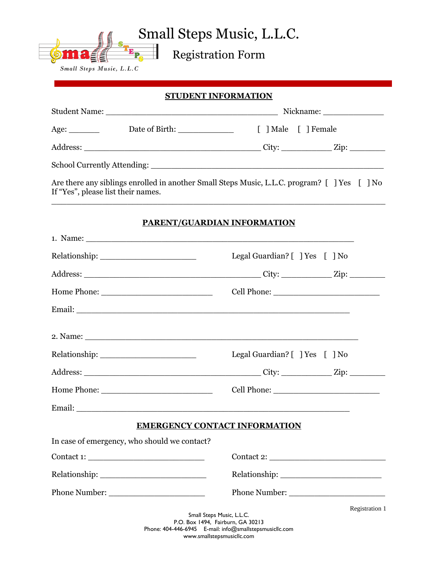Small Steps Music, L.L.C.

Registration Form

Small Steps Music, L.L.C

→→ 野川

**STUDENT INFORMATION** Student Name: \_\_\_\_\_\_\_\_\_\_\_\_\_\_\_\_\_\_\_\_\_\_\_\_\_\_\_\_\_\_\_\_\_\_ Nickname: \_\_\_\_\_\_\_\_\_\_\_\_ Age: Date of Birth:  $\qquad \qquad$  [ ] Male [ ] Female Address: \_\_\_\_\_\_\_\_\_\_\_\_\_\_\_\_\_\_\_\_\_\_\_\_\_\_\_\_\_\_\_\_\_\_\_ City: \_\_\_\_\_\_\_\_\_\_ Zip: \_\_\_\_\_\_\_ School Currently Attending: \_\_\_\_\_\_\_\_\_\_\_\_\_\_\_\_\_\_\_\_\_\_\_\_\_\_\_\_\_\_\_\_\_\_\_\_\_\_\_\_\_\_\_\_\_\_ Are there any siblings enrolled in another Small Steps Music, L.L.C. program?  $\lceil$  | Yes  $\lceil$  | No If "Yes", please list their names.  $\_$  , and the set of the set of the set of the set of the set of the set of the set of the set of the set of the set of the set of the set of the set of the set of the set of the set of the set of the set of the set of th **PARENT/GUARDIAN INFORMATION** 1. Name: \_\_\_\_\_\_\_\_\_\_\_\_\_\_\_\_\_\_\_\_\_\_\_\_\_\_\_\_\_\_\_\_\_\_\_\_\_\_\_\_\_\_\_\_\_\_\_\_\_\_\_\_\_ Relationship: \_\_\_\_\_\_\_\_\_\_\_\_\_\_\_\_\_\_\_ Legal Guardian? [ ] Yes [ ] No Address: \_\_\_\_\_\_\_\_\_\_\_\_\_\_\_\_\_\_\_\_\_\_\_\_\_\_\_\_\_\_\_\_\_\_\_ City: \_\_\_\_\_\_\_\_\_\_ Zip: \_\_\_\_\_\_\_ Home Phone:  $\Box$  Cell Phone:  $\Box$ Email: \_\_\_\_\_\_\_\_\_\_\_\_\_\_\_\_\_\_\_\_\_\_\_\_\_\_\_\_\_\_\_\_\_\_\_\_\_\_\_\_\_\_\_\_\_\_\_\_\_\_\_\_\_\_  $2.$  Name:  $\blacksquare$ Relationship: Legal Guardian? [ ] Yes [ ] No

**EMERGENCY CONTACT INFORMATION**

Address: \_\_\_\_\_\_\_\_\_\_\_\_\_\_\_\_\_\_\_\_\_\_\_\_\_\_\_\_\_\_\_\_\_\_\_ City: \_\_\_\_\_\_\_\_\_\_ Zip: \_\_\_\_\_\_\_

Home Phone: \_\_\_\_\_\_\_\_\_\_\_\_\_\_\_\_\_\_\_\_\_\_ Cell Phone: \_\_\_\_\_\_\_\_\_\_\_\_\_\_\_\_\_\_\_\_\_

Email:

In case of emergency, who should we contact?

Contact 1: \_\_\_\_\_\_\_\_\_\_\_\_\_\_\_\_\_\_\_\_\_\_\_ Contact 2: \_\_\_\_\_\_\_\_\_\_\_\_\_\_\_\_\_\_\_\_\_\_\_ Relationship: \_\_\_\_\_\_\_\_\_\_\_\_\_\_\_\_\_\_\_\_\_ Relationship: \_\_\_\_\_\_\_\_\_\_\_\_\_\_\_\_\_\_\_\_ Phone Number: \_\_\_\_\_\_\_\_\_\_\_\_\_\_\_\_\_\_\_ Phone Number: \_\_\_\_\_\_\_\_\_\_\_\_\_\_\_\_\_\_\_

> Small Steps Music, L.L.C. P.O. Box 1494, Fairburn, GA 30213 Phone: 404-446-6945 E-mail: info@smallstepsmusicllc.com www.smallstepsmusicllc.com

Registration 1